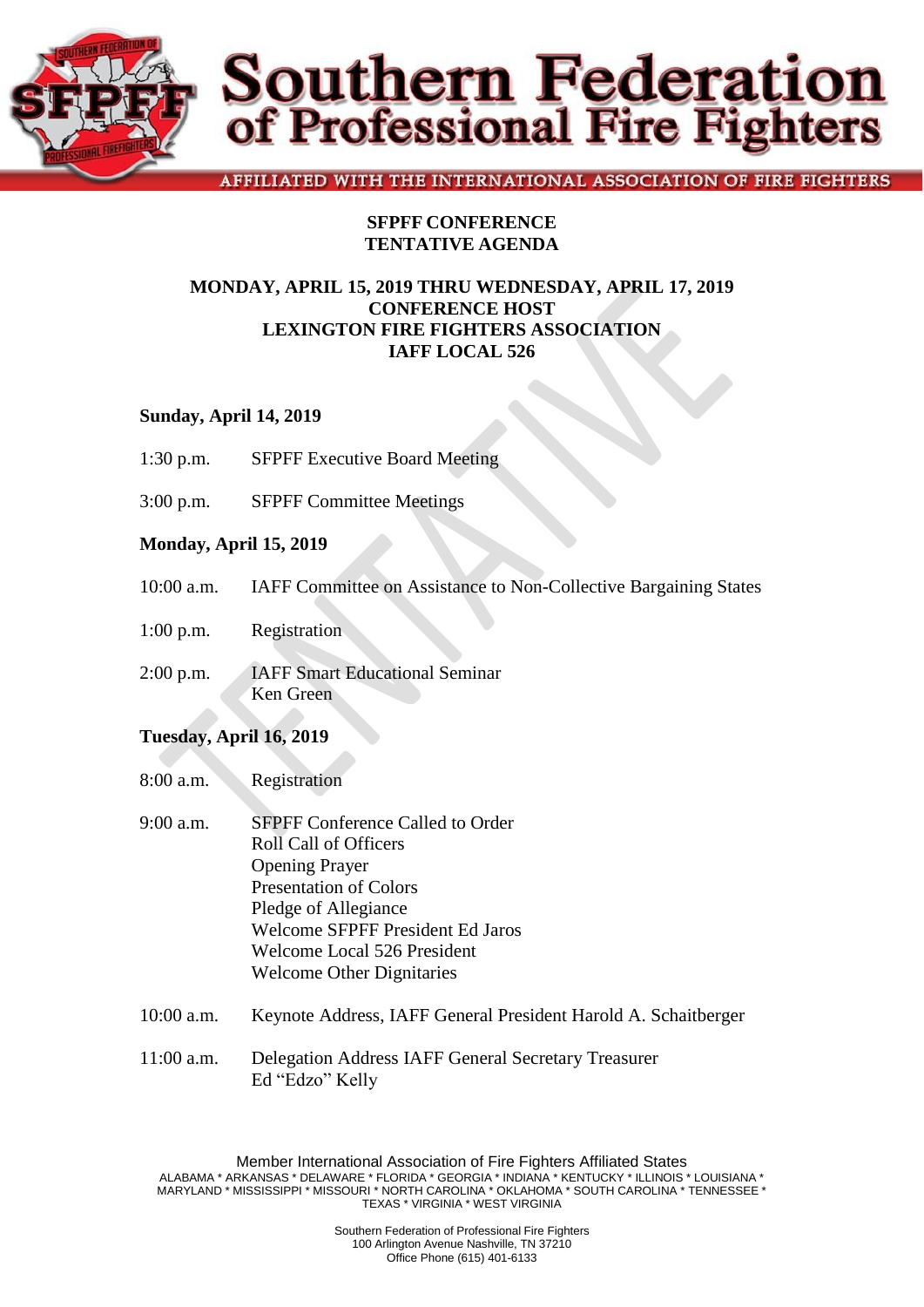

# **Southern Federation**<br>of Professional Fire Fighters

# AFFILIATED WITH THE INTERNATIONAL ASSOCIATION OF FIRE FIGHTERS

# **SFPFF CONFERENCE TENTATIVE AGENDA**

# **MONDAY, APRIL 15, 2019 THRU WEDNESDAY, APRIL 17, 2019 CONFERENCE HOST LEXINGTON FIRE FIGHTERS ASSOCIATION IAFF LOCAL 526**

# **Sunday, April 14, 2019**

- 1:30 p.m. SFPFF Executive Board Meeting
- 3:00 p.m. SFPFF Committee Meetings

# **Monday, April 15, 2019**

- 10:00 a.m. IAFF Committee on Assistance to Non-Collective Bargaining States
- 1:00 p.m. Registration
- 2:00 p.m. IAFF Smart Educational Seminar Ken Green

#### **Tuesday, April 16, 2019**

- 8:00 a.m. Registration
- 9:00 a.m. SFPFF Conference Called to Order Roll Call of Officers Opening Prayer Presentation of Colors Pledge of Allegiance Welcome SFPFF President Ed Jaros Welcome Local 526 President Welcome Other Dignitaries
- 10:00 a.m. Keynote Address, IAFF General President Harold A. Schaitberger
- 11:00 a.m. Delegation Address IAFF General Secretary Treasurer Ed "Edzo" Kelly